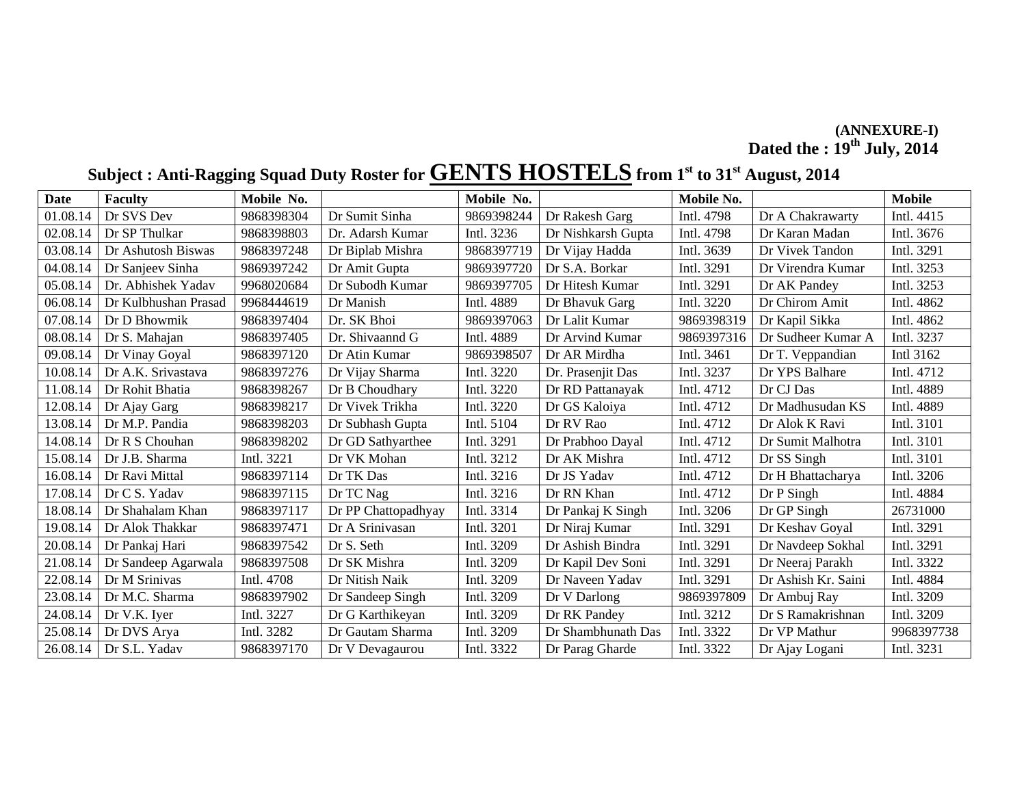#### **(ANNEXURE-I) Dated the : 19th July, 2014**

## Subject : Anti-Ragging Squad Duty Roster for **GENTS HOSTELS** from 1<sup>st</sup> to 31<sup>st</sup> August, 2014

| <b>Date</b> | <b>Faculty</b>       | Mobile No. |                     | Mobile No. |                    | Mobile No. |                     | <b>Mobile</b> |
|-------------|----------------------|------------|---------------------|------------|--------------------|------------|---------------------|---------------|
| 01.08.14    | Dr SVS Dev           | 9868398304 | Dr Sumit Sinha      | 9869398244 | Dr Rakesh Garg     | Intl. 4798 | Dr A Chakrawarty    | Intl. 4415    |
| 02.08.14    | Dr SP Thulkar        | 9868398803 | Dr. Adarsh Kumar    | Intl. 3236 | Dr Nishkarsh Gupta | Intl. 4798 | Dr Karan Madan      | Intl. 3676    |
| 03.08.14    | Dr Ashutosh Biswas   | 9868397248 | Dr Biplab Mishra    | 9868397719 | Dr Vijay Hadda     | Intl. 3639 | Dr Vivek Tandon     | Intl. 3291    |
| 04.08.14    | Dr Sanjeev Sinha     | 9869397242 | Dr Amit Gupta       | 9869397720 | Dr S.A. Borkar     | Intl. 3291 | Dr Virendra Kumar   | Intl. 3253    |
| 05.08.14    | Dr. Abhishek Yadav   | 9968020684 | Dr Subodh Kumar     | 9869397705 | Dr Hitesh Kumar    | Intl. 3291 | Dr AK Pandey        | Intl. 3253    |
| 06.08.14    | Dr Kulbhushan Prasad | 9968444619 | Dr Manish           | Intl. 4889 | Dr Bhavuk Garg     | Intl. 3220 | Dr Chirom Amit      | Intl. 4862    |
| 07.08.14    | Dr D Bhowmik         | 9868397404 | Dr. SK Bhoi         | 9869397063 | Dr Lalit Kumar     | 9869398319 | Dr Kapil Sikka      | Intl. 4862    |
| 08.08.14    | Dr S. Mahajan        | 9868397405 | Dr. Shivaannd G     | Intl. 4889 | Dr Arvind Kumar    | 9869397316 | Dr Sudheer Kumar A  | Intl. 3237    |
| 09.08.14    | Dr Vinay Goyal       | 9868397120 | Dr Atin Kumar       | 9869398507 | Dr AR Mirdha       | Intl. 3461 | Dr T. Veppandian    | Intl 3162     |
| 10.08.14    | Dr A.K. Srivastava   | 9868397276 | Dr Vijay Sharma     | Intl. 3220 | Dr. Prasenjit Das  | Intl. 3237 | Dr YPS Balhare      | Intl. 4712    |
| 11.08.14    | Dr Rohit Bhatia      | 9868398267 | Dr B Choudhary      | Intl. 3220 | Dr RD Pattanayak   | Intl. 4712 | Dr CJ Das           | Intl. 4889    |
| 12.08.14    | Dr Ajay Garg         | 9868398217 | Dr Vivek Trikha     | Intl. 3220 | Dr GS Kaloiya      | Intl. 4712 | Dr Madhusudan KS    | Intl. 4889    |
| 13.08.14    | Dr M.P. Pandia       | 9868398203 | Dr Subhash Gupta    | Intl. 5104 | Dr RV Rao          | Intl. 4712 | Dr Alok K Ravi      | Intl. 3101    |
| 14.08.14    | Dr R S Chouhan       | 9868398202 | Dr GD Sathyarthee   | Intl. 3291 | Dr Prabhoo Dayal   | Intl. 4712 | Dr Sumit Malhotra   | Intl. 3101    |
| 15.08.14    | Dr J.B. Sharma       | Intl. 3221 | Dr VK Mohan         | Intl. 3212 | Dr AK Mishra       | Intl. 4712 | Dr SS Singh         | Intl. 3101    |
| 16.08.14    | Dr Ravi Mittal       | 9868397114 | Dr TK Das           | Intl. 3216 | Dr JS Yadav        | Intl. 4712 | Dr H Bhattacharya   | Intl. 3206    |
| 17.08.14    | Dr C S. Yadav        | 9868397115 | Dr TC Nag           | Intl. 3216 | Dr RN Khan         | Intl. 4712 | Dr P Singh          | Intl. 4884    |
| 18.08.14    | Dr Shahalam Khan     | 9868397117 | Dr PP Chattopadhyay | Intl. 3314 | Dr Pankaj K Singh  | Intl. 3206 | Dr GP Singh         | 26731000      |
| 19.08.14    | Dr Alok Thakkar      | 9868397471 | Dr A Srinivasan     | Intl. 3201 | Dr Niraj Kumar     | Intl. 3291 | Dr Keshav Goyal     | Intl. 3291    |
| 20.08.14    | Dr Pankaj Hari       | 9868397542 | Dr S. Seth          | Intl. 3209 | Dr Ashish Bindra   | Intl. 3291 | Dr Navdeep Sokhal   | Intl. 3291    |
| 21.08.14    | Dr Sandeep Agarwala  | 9868397508 | Dr SK Mishra        | Intl. 3209 | Dr Kapil Dev Soni  | Intl. 3291 | Dr Neeraj Parakh    | Intl. 3322    |
| 22.08.14    | Dr M Srinivas        | Intl. 4708 | Dr Nitish Naik      | Intl. 3209 | Dr Naveen Yadav    | Intl. 3291 | Dr Ashish Kr. Saini | Intl. 4884    |
| 23.08.14    | Dr M.C. Sharma       | 9868397902 | Dr Sandeep Singh    | Intl. 3209 | Dr V Darlong       | 9869397809 | Dr Ambuj Ray        | Intl. 3209    |
| 24.08.14    | Dr V.K. Iyer         | Intl. 3227 | Dr G Karthikeyan    | Intl. 3209 | Dr RK Pandey       | Intl. 3212 | Dr S Ramakrishnan   | Intl. 3209    |
| 25.08.14    | Dr DVS Arya          | Intl. 3282 | Dr Gautam Sharma    | Intl. 3209 | Dr Shambhunath Das | Intl. 3322 | Dr VP Mathur        | 9968397738    |
| 26.08.14    | Dr S.L. Yadav        | 9868397170 | Dr V Devagaurou     | Intl. 3322 | Dr Parag Gharde    | Intl. 3322 | Dr Ajay Logani      | Intl. 3231    |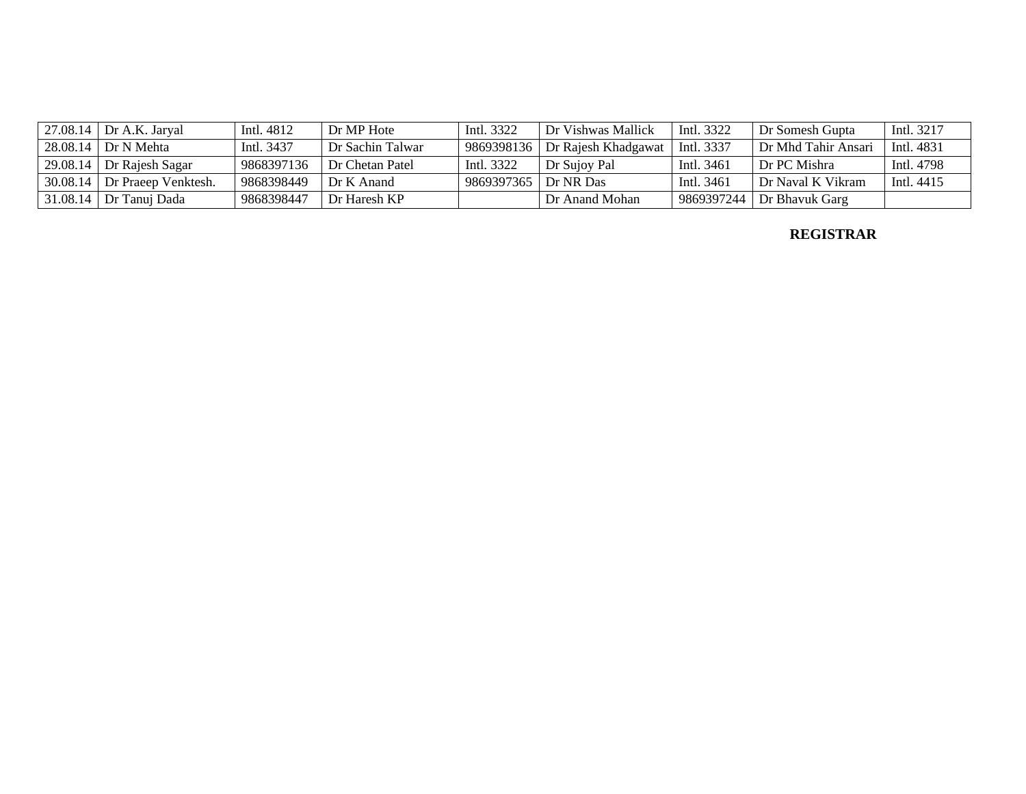| 27.08.14   Dr A.K. Jaryal      | Intl. 4812 | Dr MP Hote       | Intl. 3322 | Dr Vishwas Mallick  | Intl. 3322 | Dr Somesh Gupta                     | Intl. 3217 |
|--------------------------------|------------|------------------|------------|---------------------|------------|-------------------------------------|------------|
| 28.08.14 Dr N Mehta            | Intl. 3437 | Dr Sachin Talwar | 9869398136 | Dr Rajesh Khadgawat | Intl. 3337 | Dr Mhd Tahir Ansari                 | Intl. 4831 |
| $29.08.14$ Dr Rajesh Sagar     | 9868397136 | Dr Chetan Patel  | Intl. 3322 | Dr Sujoy Pal        | Intl. 3461 | Dr PC Mishra                        | Intl. 4798 |
| $30.08.14$ Dr Praeep Venktesh. | 9868398449 | Dr K Anand       | 9869397365 | Dr NR Das           | Intl. 3461 | Dr Naval K Vikram                   | Intl. 4415 |
| $1.08.14$ Dr Tanuj Dada        | 9868398447 | Dr Haresh KP     |            | Dr Anand Mohan      |            | $\vert$ 9869397244   Dr Bhavuk Garg |            |

**REGISTRAR**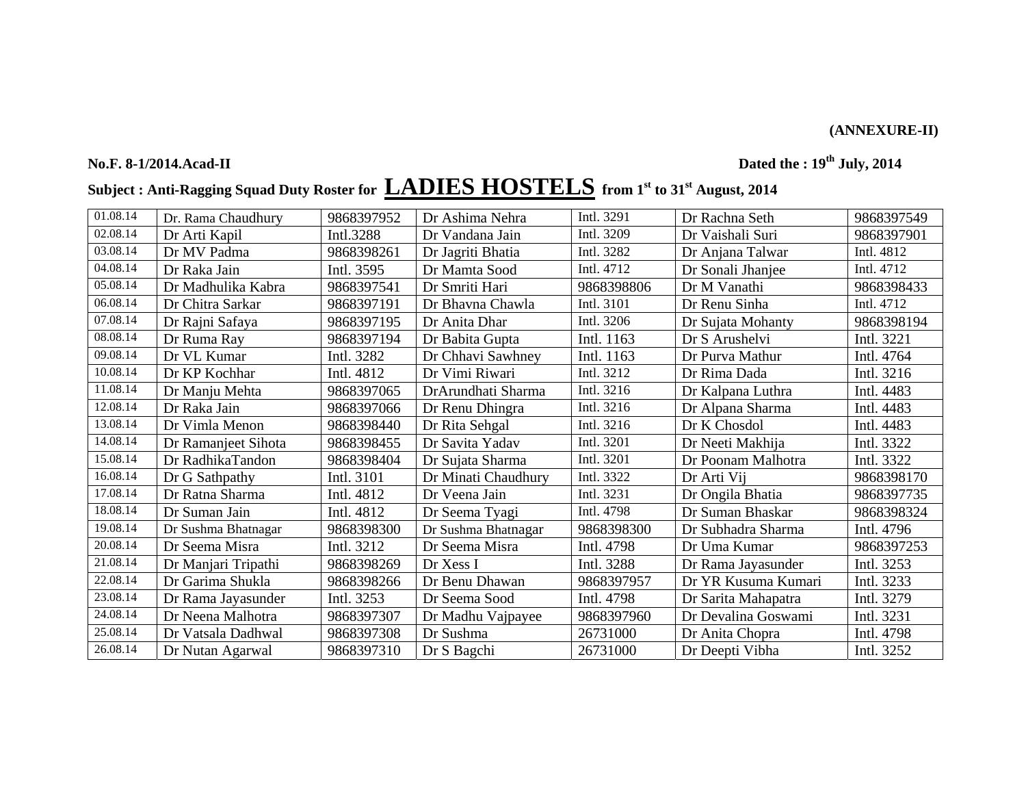### **(ANNEXURE-II)**

**No.F. 8-1/2014.Acad-II Dated the : 19th July, 2014** 

# **Subject : Anti-Ragging Squad Duty Roster for LADIES HOSTELS from 1st to 31st August, 2014**

| 01.08.14 | Dr. Rama Chaudhury  | 9868397952 | Dr Ashima Nehra     | Intl. 3291 | Dr Rachna Seth      | 9868397549 |
|----------|---------------------|------------|---------------------|------------|---------------------|------------|
| 02.08.14 | Dr Arti Kapil       | Intl.3288  | Dr Vandana Jain     | Intl. 3209 | Dr Vaishali Suri    | 9868397901 |
| 03.08.14 | Dr MV Padma         | 9868398261 | Dr Jagriti Bhatia   | Intl. 3282 | Dr Anjana Talwar    | Intl. 4812 |
| 04.08.14 | Dr Raka Jain        | Intl. 3595 | Dr Mamta Sood       | Intl. 4712 | Dr Sonali Jhanjee   | Intl. 4712 |
| 05.08.14 | Dr Madhulika Kabra  | 9868397541 | Dr Smriti Hari      | 9868398806 | Dr M Vanathi        | 9868398433 |
| 06.08.14 | Dr Chitra Sarkar    | 9868397191 | Dr Bhavna Chawla    | Intl. 3101 | Dr Renu Sinha       | Intl. 4712 |
| 07.08.14 | Dr Rajni Safaya     | 9868397195 | Dr Anita Dhar       | Intl. 3206 | Dr Sujata Mohanty   | 9868398194 |
| 08.08.14 | Dr Ruma Ray         | 9868397194 | Dr Babita Gupta     | Intl. 1163 | Dr S Arushelvi      | Intl. 3221 |
| 09.08.14 | Dr VL Kumar         | Intl. 3282 | Dr Chhavi Sawhney   | Intl. 1163 | Dr Purva Mathur     | Intl. 4764 |
| 10.08.14 | Dr KP Kochhar       | Intl. 4812 | Dr Vimi Riwari      | Intl. 3212 | Dr Rima Dada        | Intl. 3216 |
| 11.08.14 | Dr Manju Mehta      | 9868397065 | DrArundhati Sharma  | Intl. 3216 | Dr Kalpana Luthra   | Intl. 4483 |
| 12.08.14 | Dr Raka Jain        | 9868397066 | Dr Renu Dhingra     | Intl. 3216 | Dr Alpana Sharma    | Intl. 4483 |
| 13.08.14 | Dr Vimla Menon      | 9868398440 | Dr Rita Sehgal      | Intl. 3216 | Dr K Chosdol        | Intl. 4483 |
| 14.08.14 | Dr Ramanjeet Sihota | 9868398455 | Dr Savita Yadav     | Intl. 3201 | Dr Neeti Makhija    | Intl. 3322 |
| 15.08.14 | Dr RadhikaTandon    | 9868398404 | Dr Sujata Sharma    | Intl. 3201 | Dr Poonam Malhotra  | Intl. 3322 |
| 16.08.14 | Dr G Sathpathy      | Intl. 3101 | Dr Minati Chaudhury | Intl. 3322 | Dr Arti Vij         | 9868398170 |
| 17.08.14 | Dr Ratna Sharma     | Intl. 4812 | Dr Veena Jain       | Intl. 3231 | Dr Ongila Bhatia    | 9868397735 |
| 18.08.14 | Dr Suman Jain       | Intl. 4812 | Dr Seema Tyagi      | Intl. 4798 | Dr Suman Bhaskar    | 9868398324 |
| 19.08.14 | Dr Sushma Bhatnagar | 9868398300 | Dr Sushma Bhatnagar | 9868398300 | Dr Subhadra Sharma  | Intl. 4796 |
| 20.08.14 | Dr Seema Misra      | Intl. 3212 | Dr Seema Misra      | Intl. 4798 | Dr Uma Kumar        | 9868397253 |
| 21.08.14 | Dr Manjari Tripathi | 9868398269 | Dr Xess I           | Intl. 3288 | Dr Rama Jayasunder  | Intl. 3253 |
| 22.08.14 | Dr Garima Shukla    | 9868398266 | Dr Benu Dhawan      | 9868397957 | Dr YR Kusuma Kumari | Intl. 3233 |
| 23.08.14 | Dr Rama Jayasunder  | Intl. 3253 | Dr Seema Sood       | Intl. 4798 | Dr Sarita Mahapatra | Intl. 3279 |
| 24.08.14 | Dr Neena Malhotra   | 9868397307 | Dr Madhu Vajpayee   | 9868397960 | Dr Devalina Goswami | Intl. 3231 |
| 25.08.14 | Dr Vatsala Dadhwal  | 9868397308 | Dr Sushma           | 26731000   | Dr Anita Chopra     | Intl. 4798 |
| 26.08.14 | Dr Nutan Agarwal    | 9868397310 | Dr S Bagchi         | 26731000   | Dr Deepti Vibha     | Intl. 3252 |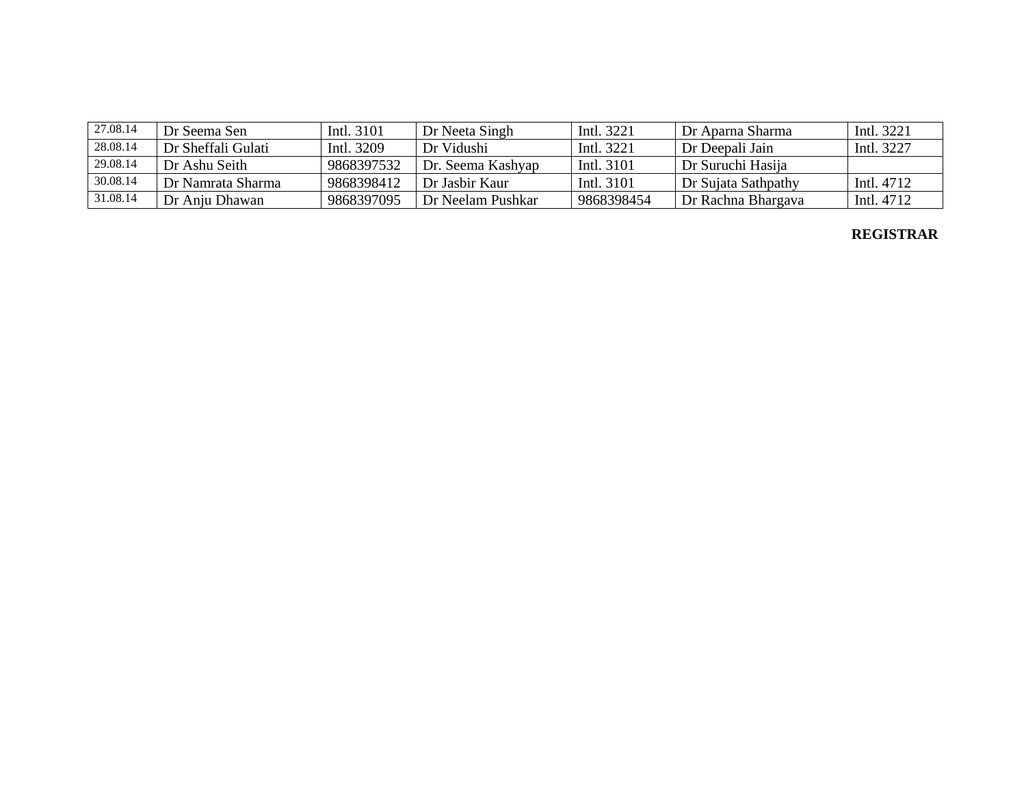| 27.08.14 | Dr Seema Sen       | Intl. 3101 | Dr Neeta Singh    | Intl. 3221 | Dr Aparna Sharma    | Intl. 3221 |
|----------|--------------------|------------|-------------------|------------|---------------------|------------|
| 28.08.14 | Dr Sheffali Gulati | Intl. 3209 | Dr Vidushi        | Intl. 3221 | Dr Deepali Jain     | Intl. 3227 |
| 29.08.14 | Dr Ashu Seith      | 9868397532 | Dr. Seema Kashyap | Intl. 3101 | Dr Suruchi Hasija   |            |
| 30.08.14 | Dr Namrata Sharma  | 9868398412 | Dr Jashir Kaur    | Intl. 3101 | Dr Suiata Sathpathy | Intl. 4712 |
| 31.08.14 | Dr Anju Dhawan     | 9868397095 | Dr Neelam Pushkar | 9868398454 | Dr Rachna Bhargava  | Intl. 4712 |

#### **REGISTRAR**